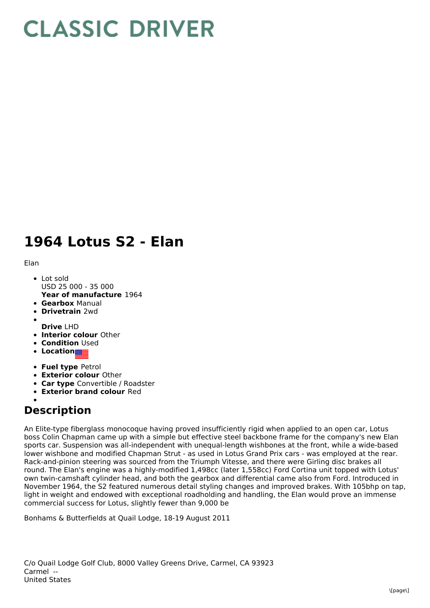## **CLASSIC DRIVER**

## **1964 Lotus S2 - Elan**

Elan

- **Year of manufacture** 1964 Lot sold USD 25 000 - 35 000
- **Gearbox** Manual
- **Drivetrain** 2wd
- **Drive** LHD
- **Interior colour** Other
- **Condition** Used
- **Location**
- **Fuel type** Petrol
- **Exterior colour** Other
- **Car type** Convertible / Roadster
- **Exterior brand colour** Red

## **Description**

An Elite-type fiberglass monocoque having proved insufficiently rigid when applied to an open car, Lotus boss Colin Chapman came up with a simple but effective steel backbone frame for the company's new Elan sports car. Suspension was all-independent with unequal-length wishbones at the front, while a wide-based lower wishbone and modified Chapman Strut - as used in Lotus Grand Prix cars - was employed at the rear. Rack-and-pinion steering was sourced from the Triumph Vitesse, and there were Girling disc brakes all round. The Elan's engine was a highly-modified 1,498cc (later 1,558cc) Ford Cortina unit topped with Lotus' own twin-camshaft cylinder head, and both the gearbox and differential came also from Ford. Introduced in November 1964, the S2 featured numerous detail styling changes and improved brakes. With 105bhp on tap, light in weight and endowed with exceptional roadholding and handling, the Elan would prove an immense commercial success for Lotus, slightly fewer than 9,000 be

Bonhams & Butterfields at Quail Lodge, 18-19 August 2011